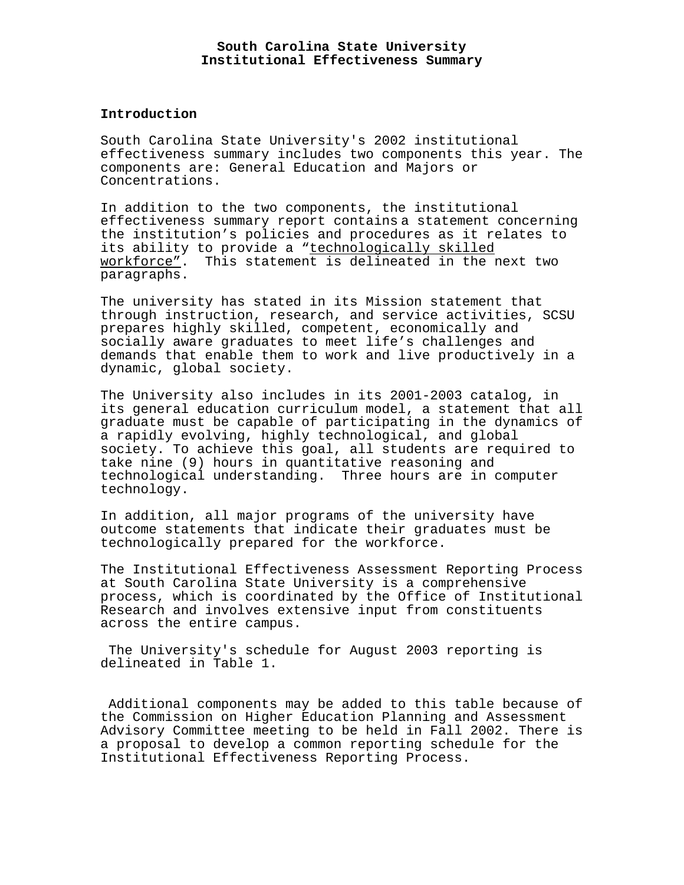### **Introduction**

South Carolina State University's 2002 institutional effectiveness summary includes two components this year. The components are: General Education and Majors or Concentrations.

In addition to the two components, the institutional effectiveness summary report contains a statement concerning the institution's policies and procedures as it relates to its ability to provide a "technologically skilled workforce". This statement is delineated in the next two paragraphs.

The university has stated in its Mission statement that through instruction, research, and service activities, SCSU prepares highly skilled, competent, economically and socially aware graduates to meet life's challenges and demands that enable them to work and live productively in a dynamic, global society.

The University also includes in its 2001-2003 catalog, in its general education curriculum model, a statement that all graduate must be capable of participating in the dynamics of a rapidly evolving, highly technological, and global society. To achieve this goal, all students are required to take nine (9) hours in quantitative reasoning and technological understanding. Three hours are in computer technology.

In addition, all major programs of the university have outcome statements that indicate their graduates must be technologically prepared for the workforce.

The Institutional Effectiveness Assessment Reporting Process at South Carolina State University is a comprehensive process, which is coordinated by the Office of Institutional Research and involves extensive input from constituents across the entire campus.

 The University's schedule for August 2003 reporting is delineated in Table 1.

 Additional components may be added to this table because of the Commission on Higher Education Planning and Assessment Advisory Committee meeting to be held in Fall 2002. There is a proposal to develop a common reporting schedule for the Institutional Effectiveness Reporting Process.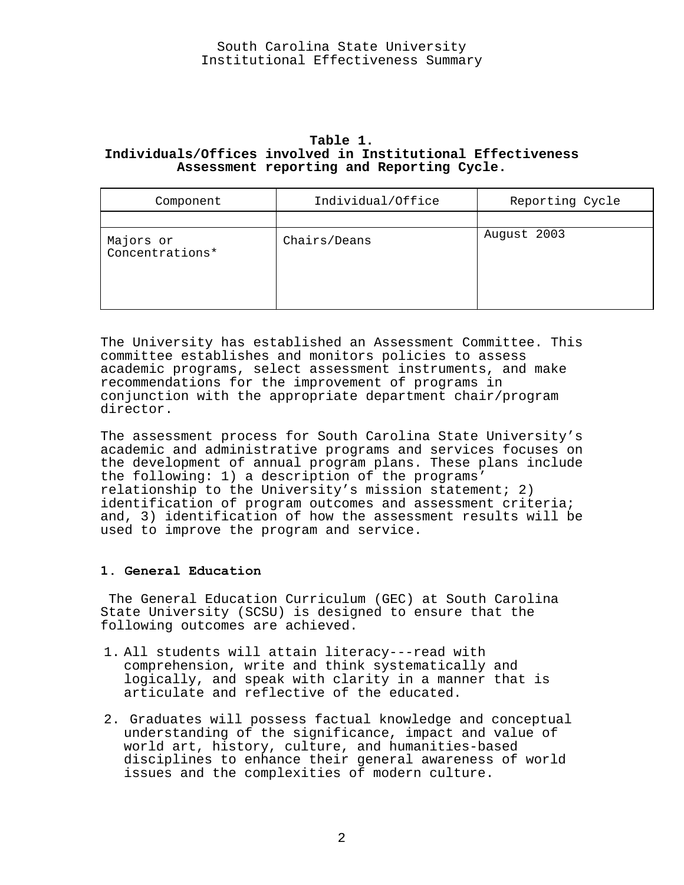## **Table 1. Individuals/Offices involved in Institutional Effectiveness Assessment reporting and Reporting Cycle.**

| Component                    | Individual/Office | Reporting Cycle |
|------------------------------|-------------------|-----------------|
|                              |                   |                 |
| Majors or<br>Concentrations* | Chairs/Deans      | August 2003     |

The University has established an Assessment Committee. This committee establishes and monitors policies to assess academic programs, select assessment instruments, and make recommendations for the improvement of programs in conjunction with the appropriate department chair/program director.

The assessment process for South Carolina State University's academic and administrative programs and services focuses on the development of annual program plans. These plans include the following: 1) a description of the programs' relationship to the University's mission statement; 2) identification of program outcomes and assessment criteria; and, 3) identification of how the assessment results will be used to improve the program and service.

# **1. General Education**

 The General Education Curriculum (GEC) at South Carolina State University (SCSU) is designed to ensure that the following outcomes are achieved.

- 1. All students will attain literacy---read with comprehension, write and think systematically and logically, and speak with clarity in a manner that is articulate and reflective of the educated.
- 2. Graduates will possess factual knowledge and conceptual understanding of the significance, impact and value of world art, history, culture, and humanities-based disciplines to enhance their general awareness of world issues and the complexities of modern culture.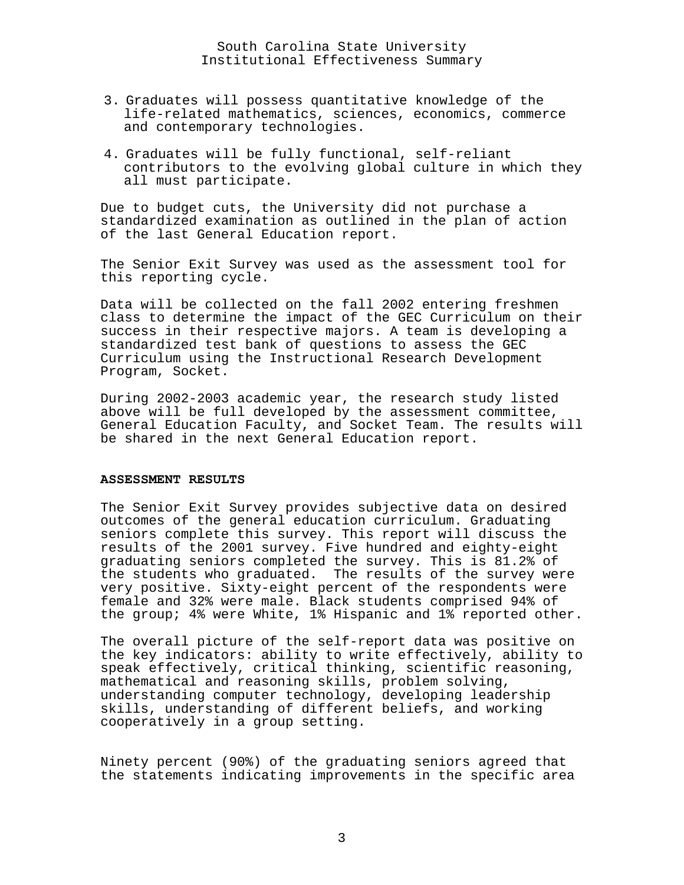- 3. Graduates will possess quantitative knowledge of the life-related mathematics, sciences, economics, commerce and contemporary technologies.
- 4. Graduates will be fully functional, self-reliant contributors to the evolving global culture in which they all must participate.

Due to budget cuts, the University did not purchase a standardized examination as outlined in the plan of action of the last General Education report.

The Senior Exit Survey was used as the assessment tool for this reporting cycle.

Data will be collected on the fall 2002 entering freshmen class to determine the impact of the GEC Curriculum on their success in their respective majors. A team is developing a standardized test bank of questions to assess the GEC Curriculum using the Instructional Research Development Program, Socket.

During 2002-2003 academic year, the research study listed above will be full developed by the assessment committee, General Education Faculty, and Socket Team. The results will be shared in the next General Education report.

## **ASSESSMENT RESULTS**

The Senior Exit Survey provides subjective data on desired outcomes of the general education curriculum. Graduating seniors complete this survey. This report will discuss the results of the 2001 survey. Five hundred and eighty-eight graduating seniors completed the survey. This is 81.2% of the students who graduated. The results of the survey were very positive. Sixty-eight percent of the respondents were female and 32% were male. Black students comprised 94% of the group; 4% were White, 1% Hispanic and 1% reported other.

The overall picture of the self-report data was positive on the key indicators: ability to write effectively, ability to speak effectively, critical thinking, scientific reasoning, mathematical and reasoning skills, problem solving, understanding computer technology, developing leadership skills, understanding of different beliefs, and working cooperatively in a group setting.

Ninety percent (90%) of the graduating seniors agreed that the statements indicating improvements in the specific area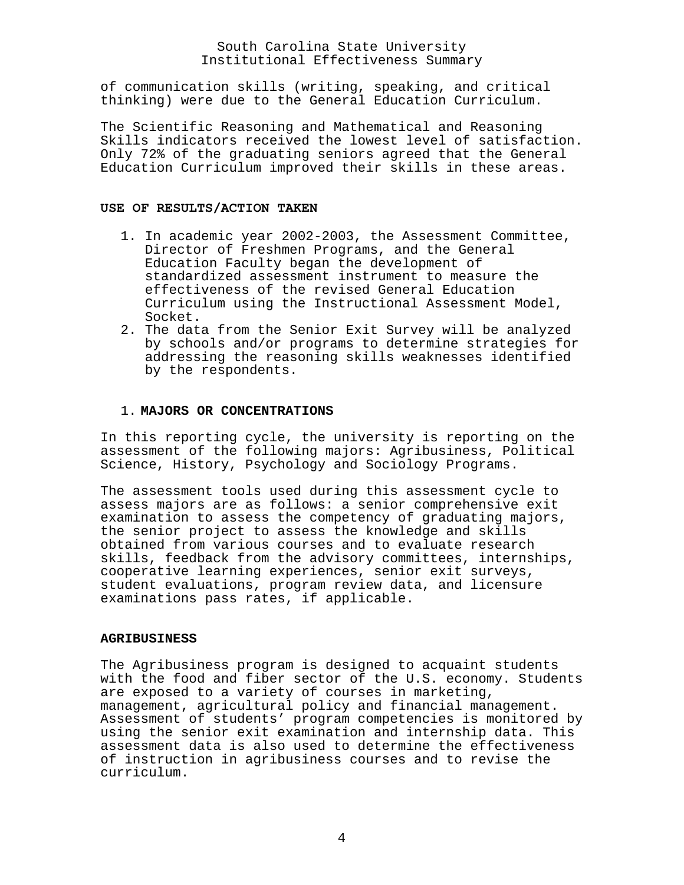of communication skills (writing, speaking, and critical thinking) were due to the General Education Curriculum.

The Scientific Reasoning and Mathematical and Reasoning Skills indicators received the lowest level of satisfaction. Only 72% of the graduating seniors agreed that the General Education Curriculum improved their skills in these areas.

### **USE OF RESULTS/ACTION TAKEN**

- 1. In academic year 2002-2003, the Assessment Committee, Director of Freshmen Programs, and the General Education Faculty began the development of standardized assessment instrument to measure the effectiveness of the revised General Education Curriculum using the Instructional Assessment Model, Socket.
- 2. The data from the Senior Exit Survey will be analyzed by schools and/or programs to determine strategies for addressing the reasoning skills weaknesses identified by the respondents.

## 1. **MAJORS OR CONCENTRATIONS**

In this reporting cycle, the university is reporting on the assessment of the following majors: Agribusiness, Political Science, History, Psychology and Sociology Programs.

The assessment tools used during this assessment cycle to assess majors are as follows: a senior comprehensive exit examination to assess the competency of graduating majors, the senior project to assess the knowledge and skills obtained from various courses and to evaluate research skills, feedback from the advisory committees, internships, cooperative learning experiences, senior exit surveys, student evaluations, program review data, and licensure examinations pass rates, if applicable.

### **AGRIBUSINESS**

The Agribusiness program is designed to acquaint students with the food and fiber sector of the U.S. economy. Students are exposed to a variety of courses in marketing, management, agricultural policy and financial management. Assessment of students' program competencies is monitored by using the senior exit examination and internship data. This assessment data is also used to determine the effectiveness of instruction in agribusiness courses and to revise the curriculum.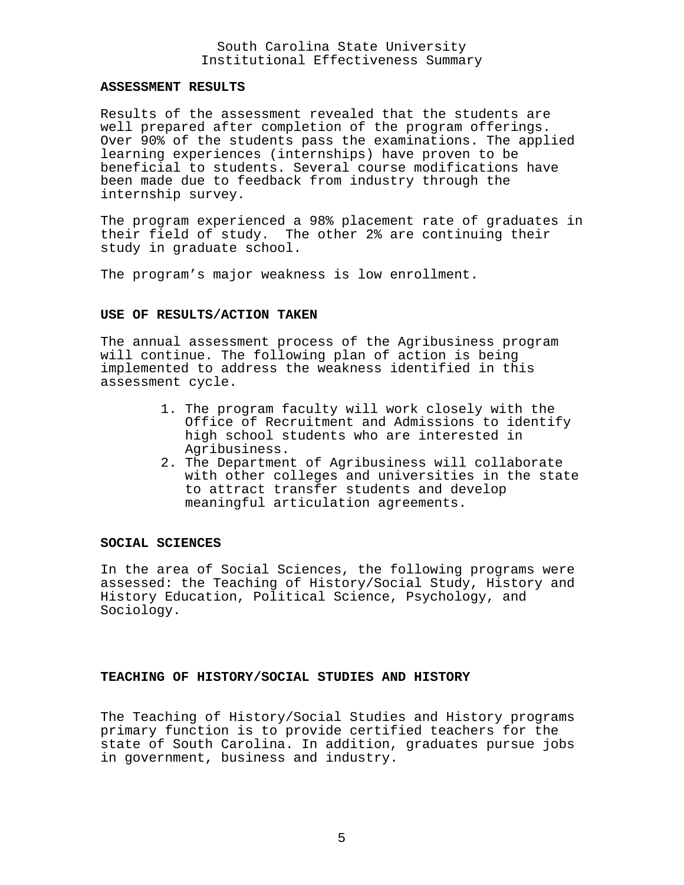### **ASSESSMENT RESULTS**

Results of the assessment revealed that the students are well prepared after completion of the program offerings. Over 90% of the students pass the examinations. The applied learning experiences (internships) have proven to be beneficial to students. Several course modifications have been made due to feedback from industry through the internship survey.

The program experienced a 98% placement rate of graduates in their field of study. The other 2% are continuing their study in graduate school.

The program's major weakness is low enrollment.

#### **USE OF RESULTS/ACTION TAKEN**

The annual assessment process of the Agribusiness program will continue. The following plan of action is being implemented to address the weakness identified in this assessment cycle.

- 1. The program faculty will work closely with the Office of Recruitment and Admissions to identify high school students who are interested in Agribusiness.
- 2. The Department of Agribusiness will collaborate with other colleges and universities in the state to attract transfer students and develop meaningful articulation agreements.

#### **SOCIAL SCIENCES**

In the area of Social Sciences, the following programs were assessed: the Teaching of History/Social Study, History and History Education, Political Science, Psychology, and Sociology.

# **TEACHING OF HISTORY/SOCIAL STUDIES AND HISTORY**

The Teaching of History/Social Studies and History programs primary function is to provide certified teachers for the state of South Carolina. In addition, graduates pursue jobs in government, business and industry.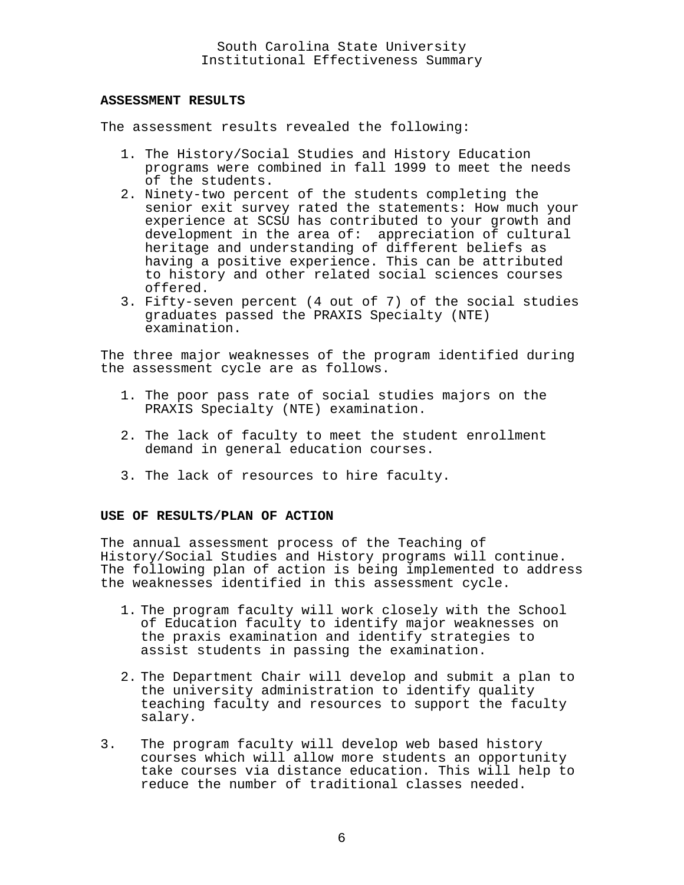### **ASSESSMENT RESULTS**

The assessment results revealed the following:

- 1. The History/Social Studies and History Education programs were combined in fall 1999 to meet the needs of the students.
- 2. Ninety-two percent of the students completing the senior exit survey rated the statements: How much your experience at SCSU has contributed to your growth and development in the area of: appreciation of cultural heritage and understanding of different beliefs as having a positive experience. This can be attributed to history and other related social sciences courses offered.
- 3. Fifty-seven percent (4 out of 7) of the social studies graduates passed the PRAXIS Specialty (NTE) examination.

The three major weaknesses of the program identified during the assessment cycle are as follows.

- 1. The poor pass rate of social studies majors on the PRAXIS Specialty (NTE) examination.
- 2. The lack of faculty to meet the student enrollment demand in general education courses.
- 3. The lack of resources to hire faculty.

## **USE OF RESULTS/PLAN OF ACTION**

The annual assessment process of the Teaching of History/Social Studies and History programs will continue. The following plan of action is being implemented to address the weaknesses identified in this assessment cycle.

- 1. The program faculty will work closely with the School of Education faculty to identify major weaknesses on the praxis examination and identify strategies to assist students in passing the examination.
- 2. The Department Chair will develop and submit a plan to the university administration to identify quality teaching faculty and resources to support the faculty salary.
- 3. The program faculty will develop web based history courses which will allow more students an opportunity take courses via distance education. This will help to reduce the number of traditional classes needed.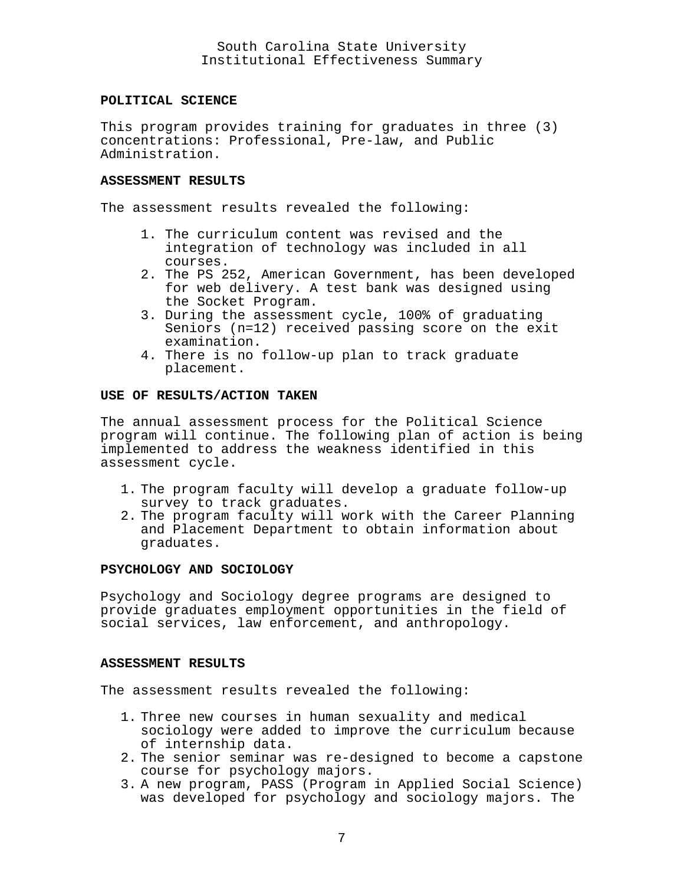### **POLITICAL SCIENCE**

This program provides training for graduates in three (3) concentrations: Professional, Pre-law, and Public Administration.

## **ASSESSMENT RESULTS**

The assessment results revealed the following:

- 1. The curriculum content was revised and the integration of technology was included in all courses.
- 2. The PS 252, American Government, has been developed for web delivery. A test bank was designed using the Socket Program.
- 3. During the assessment cycle, 100% of graduating Seniors (n=12) received passing score on the exit examination.
- 4. There is no follow-up plan to track graduate placement.

# **USE OF RESULTS/ACTION TAKEN**

The annual assessment process for the Political Science program will continue. The following plan of action is being implemented to address the weakness identified in this assessment cycle.

- 1. The program faculty will develop a graduate follow-up survey to track graduates.
- 2. The program faculty will work with the Career Planning and Placement Department to obtain information about graduates.

## **PSYCHOLOGY AND SOCIOLOGY**

Psychology and Sociology degree programs are designed to provide graduates employment opportunities in the field of social services, law enforcement, and anthropology.

#### **ASSESSMENT RESULTS**

The assessment results revealed the following:

- 1. Three new courses in human sexuality and medical sociology were added to improve the curriculum because of internship data.
- 2. The senior seminar was re-designed to become a capstone course for psychology majors.
- 3. A new program, PASS (Program in Applied Social Science) was developed for psychology and sociology majors. The